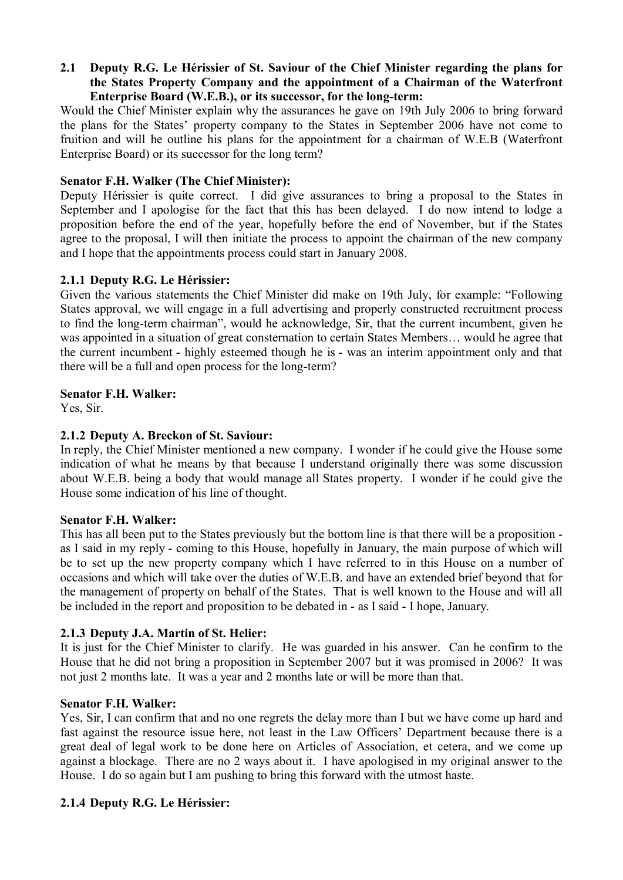## **2.1** � **Deputy R.G. Le Hérissier of St. Saviour of the Chief Minister regarding the plans for the States Property Company and the appointment of a Chairman of the Waterfront Enterprise Board (W.E.B.), or its successor, for the long-term:**

Would the Chief Minister explain why the assurances he gave on 19th July 2006 to bring forward the plans for the States' property company to the States in September 2006 have not come to fruition and will he outline his plans for the appointment for a chairman of W.E.B (Waterfront Enterprise Board) or its successor for the long term?

## **Senator F.H. Walker (The Chief Minister):**

Deputy Hérissier is quite correct. I did give assurances to bring a proposal to the States in September and I apologise for the fact that this has been delayed. I do now intend to lodge a proposition before the end of the year, hopefully before the end of November, but if the States agree to the proposal, I will then initiate the process to appoint the chairman of the new company and I hope that the appointments process could start in January 2008.

### **2.1.1 Deputy R.G. Le Hérissier:**

Given the various statements the Chief Minister did make on 19th July, for example: "Following States approval, we will engage in a full advertising and properly constructed recruitment process to find the long-term chairman", would he acknowledge, Sir, that the current incumbent, given he was appointed in a situation of great consternation to certain States Members… would he agree that the current incumbent - highly esteemed though he is - was an interim appointment only and that there will be a full and open process for the long-term?

### **Senator F.H. Walker:**

Yes, Sir.

# **2.1.2 Deputy A. Breckon of St. Saviour:**

In reply, the Chief Minister mentioned a new company. I wonder if he could give the House some indication of what he means by that because I understand originally there was some discussion about W.E.B. being a body that would manage all States property. I wonder if he could give the House some indication of his line of thought.

#### **Senator F.H. Walker:**

This has all been put to the States previously but the bottom line is that there will be a proposition as I said in my reply - coming to this House, hopefully in January, the main purpose of which will be to set up the new property company which I have referred to in this House on a number of occasions and which will take over the duties of W.E.B. and have an extended brief beyond that for the management of property on behalf of the States. That is well known to the House and will all be included in the report and proposition to be debated in - as I said - I hope, January.

# **2.1.3 Deputy J.A. Martin of St. Helier:**

It is just for the Chief Minister to clarify. He was guarded in his answer. Can he confirm to the House that he did not bring a proposition in September 2007 but it was promised in 2006? It was not just 2 months late. It was a year and 2 months late or will be more than that.

#### **Senator F.H. Walker:**

Yes, Sir, I can confirm that and no one regrets the delay more than I but we have come up hard and fast against the resource issue here, not least in the Law Officers' Department because there is a great deal of legal work to be done here on Articles of Association, et cetera, and we come up against a blockage. There are no 2 ways about it. I have apologised in my original answer to the House. I do so again but I am pushing to bring this forward with the utmost haste.

# **2.1.4 Deputy R.G. Le Hérissier:**